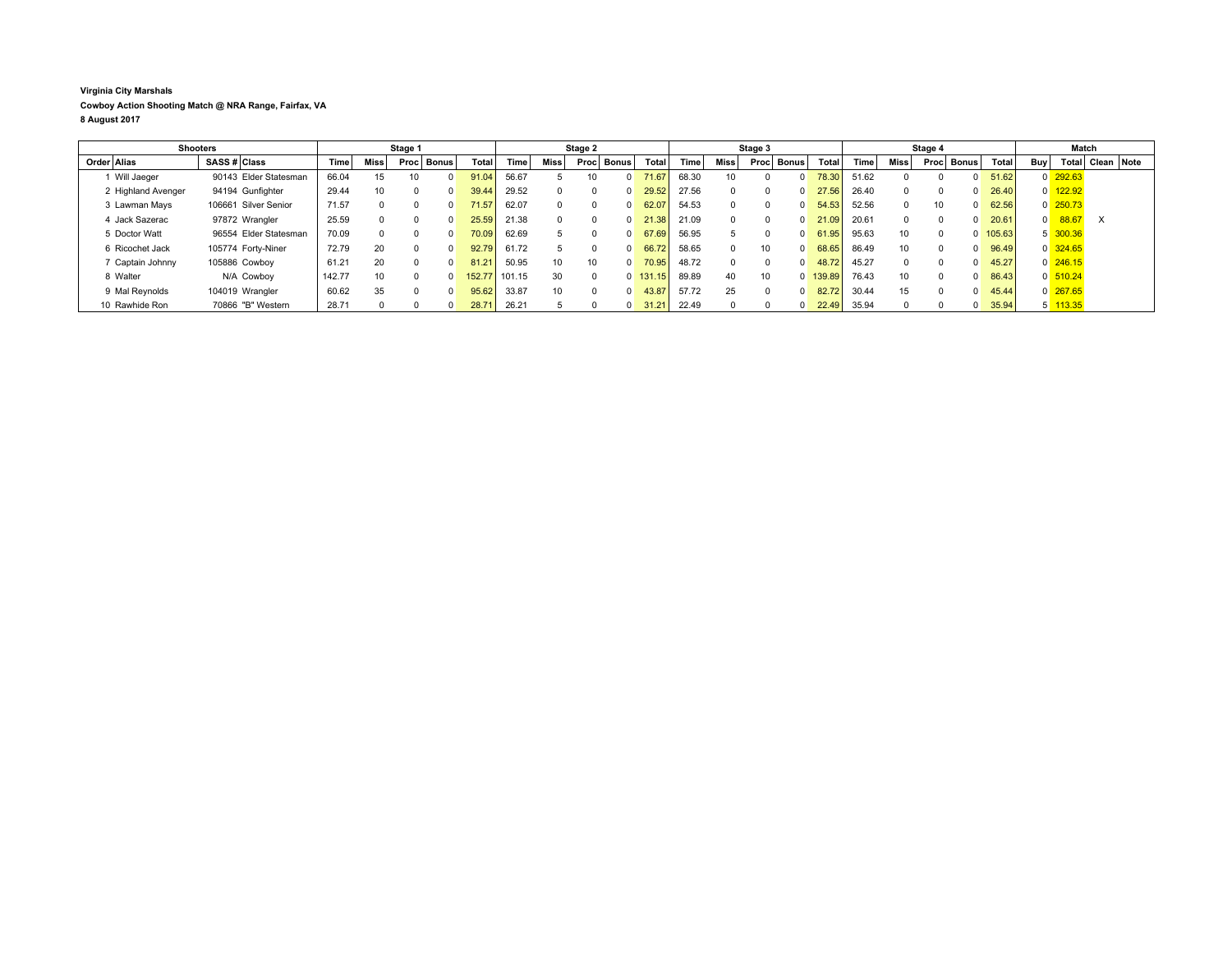## **Virginia City Marshals Cowboy Action Shooting Match @ NRA Range, Fairfax, VA 8 August 2017**

| <b>Shooters</b>    |                       | Stage 1 |      |                 |              | Stage 2 |        |                 |            | Stage 3 |            |       |      | Stage 4              |                |          |       | Match           |      |              |        |                |                        |          |                  |
|--------------------|-----------------------|---------|------|-----------------|--------------|---------|--------|-----------------|------------|---------|------------|-------|------|----------------------|----------------|----------|-------|-----------------|------|--------------|--------|----------------|------------------------|----------|------------------|
| Order Alias        | SASS # Class          | Time    | Miss | Proc            | <b>Bonus</b> | Total   | Time   | Miss            | Proc Bonus |         | Total      | Time  | Miss | <b>Bonus</b><br>Proc |                | Total    | Time  | Miss            | Proc | Bonus        | Total  | Buy            |                        |          | Total Clean Note |
| 1 Will Jaeger      | 90143 Elder Statesman | 66.04   | 15   | 10 <sup>1</sup> |              | 91.04   | 56.67  |                 |            |         | 71.67      | 68.30 | 10   |                      |                | 78.30    | 51.62 |                 |      |              | 51.62  |                | $0\overline{292.63}$   |          |                  |
| 2 Highland Avenger | 94194 Gunfighter      | 29.44   | 10   | $\Omega$        |              | 39.44   | 29.52  |                 |            |         | 29.52      | 27.56 |      | <sup>0</sup>         | $\Omega$       | 27.56    | 26.40 |                 |      | 0            | 26.40  |                | $0$ 122.92             |          |                  |
| 3 Lawman Mays      | 106661 Silver Senior  | 71.57   |      | $\Omega$        |              | 71.57   | 62.07  |                 |            |         | 62.07      | 54.53 |      | <sup>0</sup>         | $\Omega$       | 54.53    | 52.56 |                 | 10   | $\Omega$     | 62.56  |                | $0\overline{250.73}$   |          |                  |
| 4 Jack Sazerac     | 97872 Wrangler        | 25.59   |      | $\Omega$        |              | 25.59   | 21.38  |                 |            |         | 21.38      | 21.09 |      | <sup>0</sup>         | $\Omega$       | 21.09    | 20.61 |                 |      | 0            | 20.61  | $\overline{0}$ | 88.67                  | $\times$ |                  |
| 5 Doctor Watt      | 96554 Elder Statesman | 70.09   |      | $\Omega$        |              | 70.09   | 62.69  |                 |            |         | 67.69      | 56.95 |      |                      | $\Omega$       | 61.95    | 95.63 | 10 <sup>°</sup> |      | $\Omega$     | 105.63 |                | 5 300.36               |          |                  |
| 6 Ricochet Jack    | 105774 Forty-Niner    | 72.79   | 20   | $\Omega$        |              | 92.79   | 61.72  |                 |            |         | 66.72      | 58.65 |      | 10                   | $\Omega$       | 68.65    | 86.49 | 10              |      | <sup>0</sup> | 96.49  |                | $0 \overline{\}324.65$ |          |                  |
| 7 Captain Johnny   | 105886 Cowboy         | 61.21   | 20   | $\Omega$        |              | 81.21   | 50.95  | 10 <sup>1</sup> | 10         |         | 70.95      | 48.72 |      | $\Omega$             | $\Omega$       | 48.72    | 45.27 |                 |      |              | 45.27  |                | $0\overline{246.15}$   |          |                  |
| 8 Walter           | N/A Cowboy            | 142.77  | 10   | $\Omega$        |              | 152.77  | 101.15 | 30              |            |         | $0$ 131.15 | 89.89 | 40   | 10                   |                | 0 139.89 | 76.43 | 10 <sup>1</sup> |      | 0            | 86.43  |                | $0\overline{510.24}$   |          |                  |
| 9 Mal Revnolds     | 104019 Wrangler       | 60.62   | 35   | $\Omega$        |              | 95.62   | 33.87  | 10 <sup>1</sup> |            |         | 43.87      | 57.72 | 25   | <sup>0</sup>         | $\Omega$       | 82.72    | 30.44 | 15              |      |              | 45.44  |                | $0\overline{267.65}$   |          |                  |
| 10 Rawhide Ron     | 70866 "B" Western     | 28.71   |      |                 |              | 28.71   | 26.21  |                 |            |         | 31.21      | 22.49 |      |                      | $\overline{0}$ | 22.49    | 35.94 |                 |      |              | 35.94  |                | $5 - 113.35$           |          |                  |